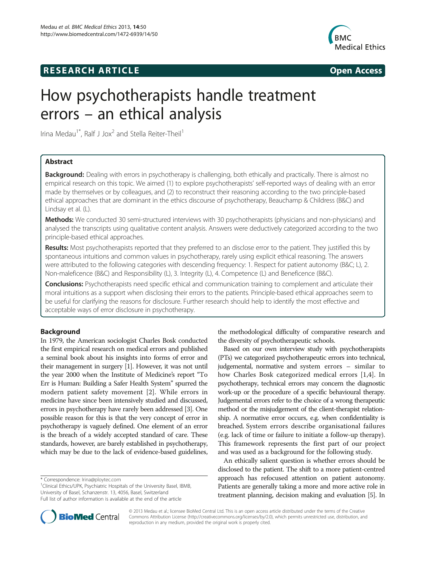# **RESEARCH ARTICLE Example 2014 CONSIDERING CONSIDERING CONSIDERING CONSIDERING CONSIDERING CONSIDERING CONSIDERING CONSIDERING CONSIDERING CONSIDERING CONSIDERING CONSIDERING CONSIDERING CONSIDERING CONSIDERING CONSIDE**



# How psychotherapists handle treatment errors – an ethical analysis

Irina Medau<sup>1\*</sup>, Ralf J Jox<sup>2</sup> and Stella Reiter-Theil<sup>1</sup>

# Abstract

Background: Dealing with errors in psychotherapy is challenging, both ethically and practically. There is almost no empirical research on this topic. We aimed (1) to explore psychotherapists' self-reported ways of dealing with an error made by themselves or by colleagues, and (2) to reconstruct their reasoning according to the two principle-based ethical approaches that are dominant in the ethics discourse of psychotherapy, Beauchamp & Childress (B&C) and Lindsay et al. (L).

Methods: We conducted 30 semi-structured interviews with 30 psychotherapists (physicians and non-physicians) and analysed the transcripts using qualitative content analysis. Answers were deductively categorized according to the two principle-based ethical approaches.

Results: Most psychotherapists reported that they preferred to an disclose error to the patient. They justified this by spontaneous intuitions and common values in psychotherapy, rarely using explicit ethical reasoning. The answers were attributed to the following categories with descending frequency: 1. Respect for patient autonomy (B&C; L), 2. Non-maleficence (B&C) and Responsibility (L), 3. Integrity (L), 4. Competence (L) and Beneficence (B&C).

Conclusions: Psychotherapists need specific ethical and communication training to complement and articulate their moral intuitions as a support when disclosing their errors to the patients. Principle-based ethical approaches seem to be useful for clarifying the reasons for disclosure. Further research should help to identify the most effective and acceptable ways of error disclosure in psychotherapy.

# Background

In 1979, the American sociologist Charles Bosk conducted the first empirical research on medical errors and published a seminal book about his insights into forms of error and their management in surgery [\[1](#page-7-0)]. However, it was not until the year 2000 when the Institute of Medicine's report "To Err is Human: Building a Safer Health System" spurred the modern patient safety movement [[2\]](#page-7-0). While errors in medicine have since been intensively studied and discussed, errors in psychotherapy have rarely been addressed [\[3\]](#page-7-0). One possible reason for this is that the very concept of error in psychotherapy is vaguely defined. One element of an error is the breach of a widely accepted standard of care. These standards, however, are barely established in psychotherapy, which may be due to the lack of evidence-based guidelines,

<sup>1</sup>Clinical Ethics/UPK, Psychiatric Hospitals of the University Basel, IBMB, University of Basel, Schanzenstr. 13, 4056, Basel, Switzerland Full list of author information is available at the end of the article

the methodological difficulty of comparative research and the diversity of psychotherapeutic schools.

Based on our own interview study with psychotherapists (PTs) we categorized psychotherapeutic errors into technical, judgemental, normative and system errors – similar to how Charles Bosk categorized medical errors [[1,4\]](#page-7-0). In psychotherapy, technical errors may concern the diagnostic work-up or the procedure of a specific behavioural therapy. Judgemental errors refer to the choice of a wrong therapeutic method or the misjudgement of the client-therapist relationship. A normative error occurs, e.g. when confidentiality is breached. System errors describe organisational failures (e.g. lack of time or failure to initiate a follow-up therapy). This framework represents the first part of our project and was used as a background for the following study.

An ethically salient question is whether errors should be disclosed to the patient. The shift to a more patient-centred approach has refocused attention on patient autonomy. Patients are generally taking a more and more active role in treatment planning, decision making and evaluation [\[5\]](#page-7-0). In



© 2013 Medau et al.; licensee BioMed Central Ltd. This is an open access article distributed under the terms of the Creative Commons Attribution License [\(http://creativecommons.org/licenses/by/2.0\)](http://creativecommons.org/licenses/by/2.0), which permits unrestricted use, distribution, and reproduction in any medium, provided the original work is properly cited.

<sup>\*</sup> Correspondence: [Irina@ploytec.com](mailto:Irina@ploytec.com) <sup>1</sup>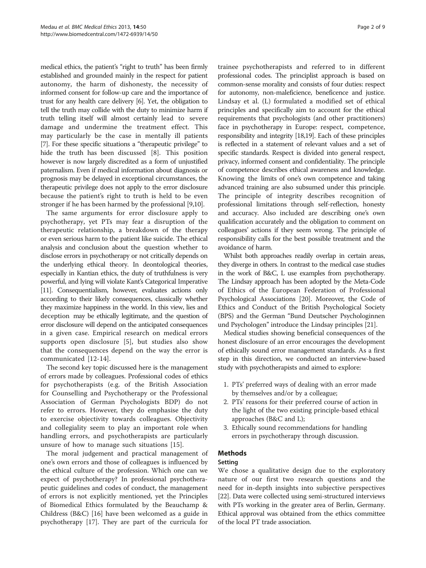medical ethics, the patient's "right to truth" has been firmly established and grounded mainly in the respect for patient autonomy, the harm of dishonesty, the necessity of informed consent for follow-up care and the importance of trust for any health care delivery [\[6\]](#page-7-0). Yet, the obligation to tell the truth may collide with the duty to minimize harm if truth telling itself will almost certainly lead to severe damage and undermine the treatment effect. This may particularly be the case in mentally ill patients [[7](#page-7-0)]. For these specific situations a "therapeutic privilege" to hide the truth has been discussed [\[8](#page-7-0)]. This position however is now largely discredited as a form of unjustified paternalism. Even if medical information about diagnosis or prognosis may be delayed in exceptional circumstances, the therapeutic privilege does not apply to the error disclosure because the patient's right to truth is held to be even stronger if he has been harmed by the professional [\[9,10\]](#page-7-0).

The same arguments for error disclosure apply to psychotherapy, yet PTs may fear a disruption of the therapeutic relationship, a breakdown of the therapy or even serious harm to the patient like suicide. The ethical analysis and conclusion about the question whether to disclose errors in psychotherapy or not critically depends on the underlying ethical theory. In deontological theories, especially in Kantian ethics, the duty of truthfulness is very powerful, and lying will violate Kant's Categorical Imperative [[11\]](#page-7-0). Consequentialism, however, evaluates actions only according to their likely consequences, classically whether they maximize happiness in the world. In this view, lies and deception may be ethically legitimate, and the question of error disclosure will depend on the anticipated consequences in a given case. Empirical research on medical errors supports open disclosure [[5\]](#page-7-0), but studies also show that the consequences depend on the way the error is communicated [[12-14](#page-7-0)].

The second key topic discussed here is the management of errors made by colleagues. Professional codes of ethics for psychotherapists (e.g. of the British Association for Counselling and Psychotherapy or the Professional Association of German Psychologists BDP) do not refer to errors. However, they do emphasise the duty to exercise objectivity towards colleagues. Objectivity and collegiality seem to play an important role when handling errors, and psychotherapists are particularly unsure of how to manage such situations [[15\]](#page-7-0).

The moral judgement and practical management of one's own errors and those of colleagues is influenced by the ethical culture of the profession. Which one can we expect of psychotherapy? In professional psychotherapeutic guidelines and codes of conduct, the management of errors is not explicitly mentioned, yet the Principles of Biomedical Ethics formulated by the Beauchamp & Childress (B&C) [[16\]](#page-7-0) have been welcomed as a guide in psychotherapy [\[17](#page-7-0)]. They are part of the curricula for

trainee psychotherapists and referred to in different professional codes. The principlist approach is based on common-sense morality and consists of four duties: respect for autonomy, non-maleficience, beneficence and justice. Lindsay et al. (L) formulated a modified set of ethical principles and specifically aim to account for the ethical requirements that psychologists (and other practitioners) face in psychotherapy in Europe: respect, competence, responsibility and integrity [[18,19](#page-7-0)]. Each of these principles is reflected in a statement of relevant values and a set of specific standards. Respect is divided into general respect, privacy, informed consent and confidentiality. The principle of competence describes ethical awareness and knowledge. Knowing the limits of one's own competence and taking advanced training are also subsumed under this principle. The principle of integrity describes recognition of professional limitations through self-reflection, honesty and accuracy. Also included are describing one's own qualification accurately and the obligation to comment on colleagues' actions if they seem wrong. The principle of responsibility calls for the best possible treatment and the avoidance of harm.

Whilst both approaches readily overlap in certain areas, they diverge in others. In contrast to the medical case studies in the work of B&C, L use examples from psychotherapy. The Lindsay approach has been adopted by the Meta-Code of Ethics of the European Federation of Professional Psychological Associations [[20](#page-7-0)]. Moreover, the Code of Ethics and Conduct of the British Psychological Society (BPS) and the German "Bund Deutscher Psychologinnen und Psychologen" introduce the Lindsay principles [\[21\]](#page-7-0).

Medical studies showing beneficial consequences of the honest disclosure of an error encourages the development of ethically sound error management standards. As a first step in this direction, we conducted an interview-based study with psychotherapists and aimed to explore:

- 1. PTs' preferred ways of dealing with an error made by themselves and/or by a colleague;
- 2. PTs' reasons for their preferred course of action in the light of the two existing principle-based ethical approaches (B&C and L);
- 3. Ethically sound recommendations for handling errors in psychotherapy through discussion.

## Methods

## Setting

We chose a qualitative design due to the exploratory nature of our first two research questions and the need for in-depth insights into subjective perspectives [[22](#page-7-0)]. Data were collected using semi-structured interviews with PTs working in the greater area of Berlin, Germany. Ethical approval was obtained from the ethics committee of the local PT trade association.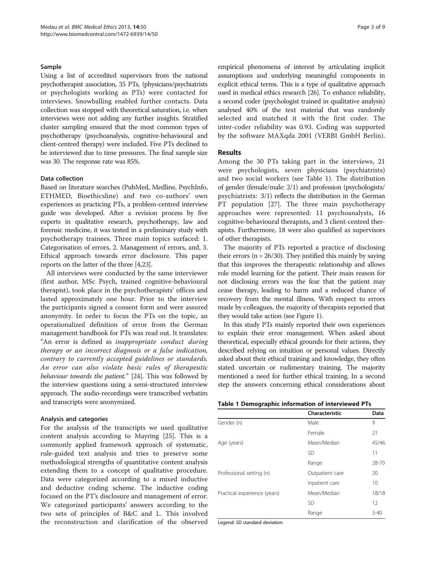#### Sample

Using a list of accredited supervisors from the national psychotherapist association, 35 PTs, (physicians/psychiatrists or psychologists working as PTs) were contacted for interviews. Snowballing enabled further contacts. Data collection was stopped with theoretical saturation, i.e. when interviews were not adding any further insights. Stratified cluster sampling ensured that the most common types of psychotherapy (psychoanalysis, cognitive-behavioural and client-centred therapy) were included. Five PTs declined to be interviewed due to time pressures. The final sample size was 30. The response rate was 85%.

#### Data collection

Based on literature searches (PubMed, Medline, PsychInfo, ETHMED, Bioethicsline) and two co-authors' own experiences as practicing PTs, a problem-centred interview guide was developed. After a revision process by five experts in qualitative research, psychotherapy, law and forensic medicine, it was tested in a preliminary study with psychotherapy trainees. Three main topics surfaced: 1. Categorisation of errors, 2. Management of errors, and, 3. Ethical approach towards error disclosure. This paper reports on the latter of the three [[4,23](#page-7-0)].

All interviews were conducted by the same interviewer (first author, MSc Psych, trained cognitive-behavioural therapist), took place in the psychotherapists' offices and lasted approximately one hour. Prior to the interview the participants signed a consent form and were assured anonymity. In order to focus the PTs on the topic, an operationalized definition of error from the German management handbook for PTs was read out. It translates: "An error is defined as inappropriate conduct during therapy or an incorrect diagnosis or a false indication, contrary to currently accepted guidelines or standards. An error can also violate basic rules of therapeutic behaviour towards the patient." [[24](#page-7-0)]. This was followed by the interview questions using a semi-structured interview approach. The audio-recordings were transcribed verbatim and transcripts were anonymized.

#### Analysis and categories

For the analysis of the transcripts we used qualitative content analysis according to Mayring [[25\]](#page-7-0). This is a commonly applied framework approach of systematic, rule-guided text analysis and tries to preserve some methodological strengths of quantitative content analysis extending them to a concept of qualitative procedure. Data were categorized according to a mixed inductive and deductive coding scheme. The inductive coding focused on the PT's disclosure and management of error. We categorized participants' answers according to the two sets of principles of B&C and L. This involved the reconstruction and clarification of the observed

empirical phenomena of interest by articulating implicit assumptions and underlying meaningful components in explicit ethical terms. This is a type of qualitative approach used in medical ethics research [[26](#page-7-0)]. To enhance reliability, a second coder (psychologist trained in qualitative analysis) analysed 40% of the text material that was randomly selected and matched it with the first coder. The inter-coder reliability was 0.93. Coding was supported by the software MAXqda 2001 (VERBI GmbH Berlin).

#### Results

Among the 30 PTs taking part in the interviews, 21 were psychologists, seven physicians (psychiatrists) and two social workers (see Table 1). The distribution of gender (female/male: 2/1) and profession (psychologists/ psychiatrists: 3/1) reflects the distribution in the German PT population [\[27](#page-7-0)]. The three main psychotherapy approaches were represented: 11 psychoanalysts, 16 cognitive-behavioural therapists, and 3 client-centred therapists. Furthermore, 18 were also qualified as supervisors of other therapists.

The majority of PTs reported a practice of disclosing their errors ( $n = 26/30$ ). They justified this mainly by saying that this improves the therapeutic relationship and allows role model learning for the patient. Their main reason for not disclosing errors was the fear that the patient may cease therapy, leading to harm and a reduced chance of recovery from the mental illness. With respect to errors made by colleagues, the majority of therapists reported that they would take action (see Figure [1\)](#page-3-0).

In this study PTs mainly reported their own experiences to explain their error management. When asked about theoretical, especially ethical grounds for their actions, they described relying on intuition or personal values. Directly asked about their ethical training and knowledge, they often stated uncertain or rudimentary training. The majority mentioned a need for further ethical training. In a second step the answers concerning ethical considerations about

|  |  |  | Table 1 Demographic information of interviewed PTs |  |
|--|--|--|----------------------------------------------------|--|
|--|--|--|----------------------------------------------------|--|

|                              | Characteristic  | Data     |
|------------------------------|-----------------|----------|
| Gender (n)                   | Male            | 9        |
|                              | Female          | 21       |
| Age (years)                  | Mean/Median     | 45/46    |
|                              | <b>SD</b>       | 11       |
|                              | Range           | 28-70    |
| Professional setting (n)     | Outpatient care | 20       |
|                              | Inpatient care  | 10       |
| Practical experience (years) | Mean/Median     | 18/18    |
|                              | <b>SD</b>       | 12       |
|                              | Range           | $3 - 40$ |

Legend: SD standard deviation.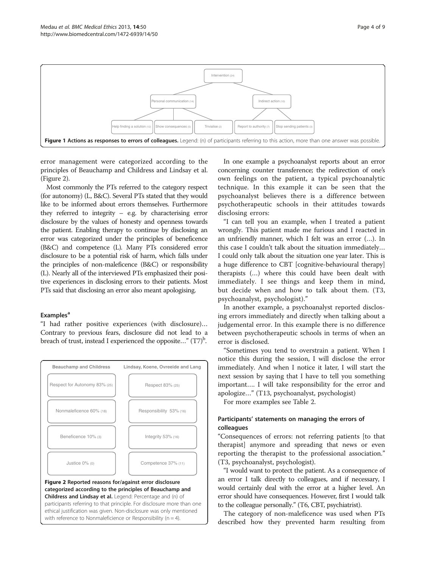<span id="page-3-0"></span>

error management were categorized according to the principles of Beauchamp and Childress and Lindsay et al. (Figure 2).

Most commonly the PTs referred to the category respect (for autonomy) (L, B&C). Several PTs stated that they would like to be informed about errors themselves. Furthermore they referred to integrity – e.g. by characterising error disclosure by the values of honesty and openness towards the patient. Enabling therapy to continue by disclosing an error was categorized under the principles of beneficence (B&C) and competence (L). Many PTs considered error disclosure to be a potential risk of harm, which falls under the principles of non-maleficence (B&C) or responsibility (L). Nearly all of the interviewed PTs emphasized their positive experiences in disclosing errors to their patients. Most PTs said that disclosing an error also meant apologising.

## **Examples<sup>a</sup>**

"I had rather positive experiences (with disclosure)… Contrary to previous fears, disclosure did not lead to a breach of trust, instead I experienced the opposite..."  $(T7)^{6}$ .



ethical justification was given. Non-disclosure was only mentioned with reference to Nonmaleficience or Responsibility ( $n = 4$ ).

In one example a psychoanalyst reports about an error concerning counter transference; the redirection of one's own feelings on the patient, a typical psychoanalytic technique. In this example it can be seen that the psychoanalyst believes there is a difference between psychotherapeutic schools in their attitudes towards disclosing errors:

"I can tell you an example, when I treated a patient wrongly. This patient made me furious and I reacted in an unfriendly manner, which I felt was an error (…). In this case I couldn't talk about the situation immediately… I could only talk about the situation one year later. This is a huge difference to CBT [cognitive-behavioural therapy] therapists (…) where this could have been dealt with immediately. I see things and keep them in mind, but decide when and how to talk about them. (T3, psychoanalyst, psychologist)."

In another example, a psychoanalyst reported disclosing errors immediately and directly when talking about a judgemental error. In this example there is no difference between psychotherapeutic schools in terms of when an error is disclosed.

"Sometimes you tend to overstrain a patient. When I notice this during the session, I will disclose the error immediately. And when I notice it later, I will start the next session by saying that I have to tell you something important…. I will take responsibility for the error and apologize…" (T13, psychoanalyst, psychologist)

For more examples see Table [2](#page-4-0).

# Participants' statements on managing the errors of colleagues

"Consequences of errors: not referring patients [to that therapist] anymore and spreading that news or even reporting the therapist to the professional association." (T3, psychoanalyst, psychologist).

"I would want to protect the patient. As a consequence of an error I talk directly to colleagues, and if necessary, I would certainly deal with the error at a higher level. An error should have consequences. However, first I would talk to the colleague personally." (T6, CBT, psychiatrist).

The category of non-maleficence was used when PTs described how they prevented harm resulting from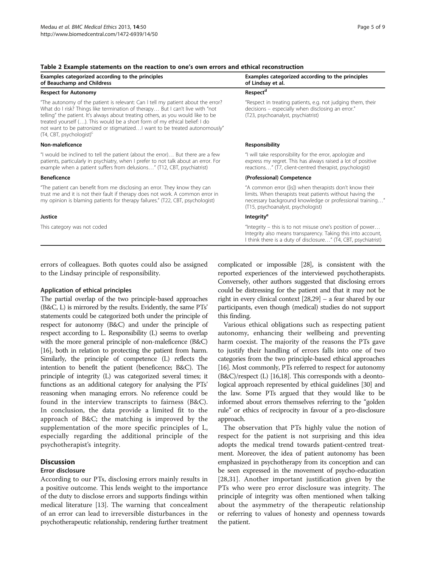| Examples categorized according to the principles<br>of Beauchamp and Childress                                                                                                                                                                                                                                                                                                                                                                                 | Examples categorized according to the principles<br>of Lindsay et al.                                                                                                                                                  |  |
|----------------------------------------------------------------------------------------------------------------------------------------------------------------------------------------------------------------------------------------------------------------------------------------------------------------------------------------------------------------------------------------------------------------------------------------------------------------|------------------------------------------------------------------------------------------------------------------------------------------------------------------------------------------------------------------------|--|
| <b>Respect for Autonomy</b>                                                                                                                                                                                                                                                                                                                                                                                                                                    | Respect <sup>d</sup>                                                                                                                                                                                                   |  |
| "The autonomy of the patient is relevant: Can I tell my patient about the error?<br>What do I risk? Things like termination of therapy But I can't live with "not<br>telling" the patient. It's always about treating others, as you would like to be<br>treated yourself (). This would be a short form of my ethical belief: I do<br>not want to be patronized or stigmatizedI want to be treated autonomously"<br>$(T4, \text{CBT}, \text{psychologist})^c$ | "Respect in treating patients, e.g. not judging them, their<br>decisions - especially when disclosing an error."<br>(T23, psychoanalyst, psychiatrist)                                                                 |  |
| Non-maleficence                                                                                                                                                                                                                                                                                                                                                                                                                                                | <b>Responsibility</b>                                                                                                                                                                                                  |  |
| "I would be inclined to tell the patient (about the error) But there are a few<br>patients, particularly in psychiatry, when I prefer to not talk about an error. For<br>example when a patient suffers from delusions" (T12, CBT, psychiatrist)                                                                                                                                                                                                               | "I will take responsibility for the error, apologize and<br>express my regret. This has always raised a lot of positive<br>reactions" (T7, client-centred therapist, psychologist)                                     |  |
| <b>Beneficence</b>                                                                                                                                                                                                                                                                                                                                                                                                                                             | (Professional) Competence                                                                                                                                                                                              |  |
| "The patient can benefit from me disclosing an error. They know they can<br>trust me and it is not their fault if therapy does not work. A common error in<br>my opinion is blaming patients for therapy failures." (T22, CBT, psychologist)                                                                                                                                                                                                                   | "A common error ([is]) when therapists don't know their<br>limits. When therapists treat patients without having the<br>necessary background knowledge or professional training"<br>(T15, psychoanalyst, psychologist) |  |
| Justice                                                                                                                                                                                                                                                                                                                                                                                                                                                        | <b>Integrity<sup>e</sup></b>                                                                                                                                                                                           |  |
| This category was not coded                                                                                                                                                                                                                                                                                                                                                                                                                                    | "Integrity – this is to not misuse one's position of power<br>Integrity also means transparency. Taking this into account,<br>I think there is a duty of disclosure" (T4, CBT, psychiatrist)                           |  |

<span id="page-4-0"></span>Table 2 Example statements on the reaction to one's own errors and ethical reconstruction

errors of colleagues. Both quotes could also be assigned to the Lindsay principle of responsibility.

#### Application of ethical principles

The partial overlap of the two principle-based approaches (B&C, L) is mirrored by the results. Evidently, the same PTs' statements could be categorized both under the principle of respect for autonomy (B&C) and under the principle of respect according to L. Responsibility (L) seems to overlap with the more general principle of non-maleficence (B&C) [[16\]](#page-7-0), both in relation to protecting the patient from harm. Similarly, the principle of competence (L) reflects the intention to benefit the patient (beneficence; B&C). The principle of integrity (L) was categorized several times; it functions as an additional category for analysing the PTs' reasoning when managing errors. No reference could be found in the interview transcripts to fairness (B&C). In conclusion, the data provide a limited fit to the approach of B&C; the matching is improved by the supplementation of the more specific principles of L, especially regarding the additional principle of the psychotherapist's integrity.

# **Discussion**

#### Error disclosure

According to our PTs, disclosing errors mainly results in a positive outcome. This lends weight to the importance of the duty to disclose errors and supports findings within medical literature [\[13\]](#page-7-0). The warning that concealment of an error can lead to irreversible disturbances in the psychotherapeutic relationship, rendering further treatment complicated or impossible [\[28](#page-7-0)], is consistent with the reported experiences of the interviewed psychotherapists. Conversely, other authors suggested that disclosing errors could be distressing for the patient and that it may not be right in every clinical context [[28,29\]](#page-7-0) – a fear shared by our participants, even though (medical) studies do not support this finding.

Various ethical obligations such as respecting patient autonomy, enhancing their wellbeing and preventing harm coexist. The majority of the reasons the PTs gave to justify their handling of errors falls into one of two categories from the two principle-based ethical approaches [[16](#page-7-0)]. Most commonly, PTs referred to respect for autonomy (B&C)/respect (L) [\[16,18\]](#page-7-0). This corresponds with a deontological approach represented by ethical guidelines [\[30\]](#page-7-0) and the law. Some PTs argued that they would like to be informed about errors themselves referring to the "golden rule" or ethics of reciprocity in favour of a pro-disclosure approach.

The observation that PTs highly value the notion of respect for the patient is not surprising and this idea adopts the medical trend towards patient-centred treatment. Moreover, the idea of patient autonomy has been emphasized in psychotherapy from its conception and can be seen expressed in the movement of psycho-education [[28,31](#page-7-0)]. Another important justification given by the PTs who were pro error disclosure was integrity. The principle of integrity was often mentioned when talking about the asymmetry of the therapeutic relationship or referring to values of honesty and openness towards the patient.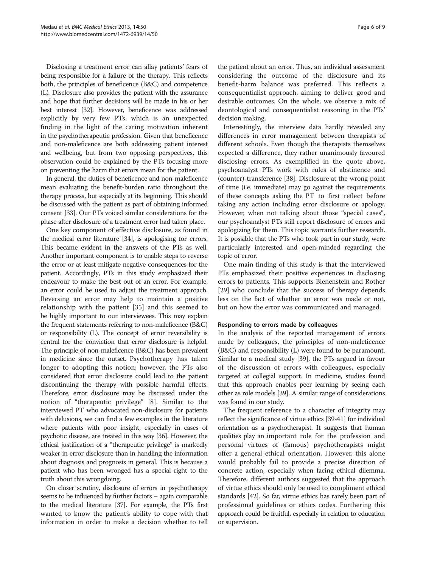Disclosing a treatment error can allay patients' fears of being responsible for a failure of the therapy. This reflects both, the principles of beneficence (B&C) and competence (L). Disclosure also provides the patient with the assurance and hope that further decisions will be made in his or her best interest [[32\]](#page-7-0). However, beneficence was addressed explicitly by very few PTs, which is an unexpected finding in the light of the caring motivation inherent in the psychotherapeutic profession. Given that beneficence and non-maleficence are both addressing patient interest and wellbeing, but from two opposing perspectives, this observation could be explained by the PTs focusing more on preventing the harm that errors mean for the patient.

In general, the duties of beneficence and non-maleficence mean evaluating the benefit-burden ratio throughout the therapy process, but especially at its beginning. This should be discussed with the patient as part of obtaining informed consent [\[33\]](#page-7-0). Our PTs voiced similar considerations for the phase after disclosure of a treatment error had taken place.

One key component of effective disclosure, as found in the medical error literature [[34\]](#page-7-0), is apologising for errors. This became evident in the answers of the PTs as well. Another important component is to enable steps to reverse the error or at least mitigate negative consequences for the patient. Accordingly, PTs in this study emphasized their endeavour to make the best out of an error. For example, an error could be used to adjust the treatment approach. Reversing an error may help to maintain a positive relationship with the patient [[35\]](#page-7-0) and this seemed to be highly important to our interviewees. This may explain the frequent statements referring to non-maleficence (B&C) or responsibility (L). The concept of error reversibility is central for the conviction that error disclosure is helpful. The principle of non-maleficence (B&C) has been prevalent in medicine since the outset. Psychotherapy has taken longer to adopting this notion; however, the PTs also considered that error disclosure could lead to the patient discontinuing the therapy with possible harmful effects. Therefore, error disclosure may be discussed under the notion of "therapeutic privilege" [\[8](#page-7-0)]. Similar to the interviewed PT who advocated non-disclosure for patients with delusions, we can find a few examples in the literature where patients with poor insight, especially in cases of psychotic disease, are treated in this way [\[36\]](#page-7-0). However, the ethical justification of a "therapeutic privilege" is markedly weaker in error disclosure than in handling the information about diagnosis and prognosis in general. This is because a patient who has been wronged has a special right to the truth about this wrongdoing.

On closer scrutiny, disclosure of errors in psychotherapy seems to be influenced by further factors – again comparable to the medical literature [\[37\]](#page-7-0). For example, the PTs first wanted to know the patient's ability to cope with that information in order to make a decision whether to tell the patient about an error. Thus, an individual assessment considering the outcome of the disclosure and its benefit-harm balance was preferred. This reflects a consequentialist approach, aiming to deliver good and desirable outcomes. On the whole, we observe a mix of deontological and consequentialist reasoning in the PTs' decision making.

Interestingly, the interview data hardly revealed any differences in error management between therapists of different schools. Even though the therapists themselves expected a difference, they rather unanimously favoured disclosing errors. As exemplified in the quote above, psychoanalyst PTs work with rules of abstinence and (counter)-transference [\[38\]](#page-8-0). Disclosure at the wrong point of time (i.e. immediate) may go against the requirements of these concepts asking the PT to first reflect before taking any action including error disclosure or apology. However, when not talking about those "special cases", our psychoanalyst PTs still report disclosure of errors and apologizing for them. This topic warrants further research. It is possible that the PTs who took part in our study, were particularly interested and open-minded regarding the topic of error.

One main finding of this study is that the interviewed PTs emphasized their positive experiences in disclosing errors to patients. This supports Bienenstein and Rother [[29\]](#page-7-0) who conclude that the success of therapy depends less on the fact of whether an error was made or not, but on how the error was communicated and managed.

#### Responding to errors made by colleagues

In the analysis of the reported management of errors made by colleagues, the principles of non-maleficence (B&C) and responsibility (L) were found to be paramount. Similar to a medical study [[39](#page-8-0)], the PTs argued in favour of the discussion of errors with colleagues, especially targeted at collegial support. In medicine, studies found that this approach enables peer learning by seeing each other as role models [[39](#page-8-0)]. A similar range of considerations was found in our study.

The frequent reference to a character of integrity may reflect the significance of virtue ethics [\[39-41\]](#page-8-0) for individual orientation as a psychotherapist. It suggests that human qualities play an important role for the profession and personal virtues of (famous) psychotherapists might offer a general ethical orientation. However, this alone would probably fail to provide a precise direction of concrete action, especially when facing ethical dilemma. Therefore, different authors suggested that the approach of virtue ethics should only be used to compliment ethical standards [\[42\]](#page-8-0). So far, virtue ethics has rarely been part of professional guidelines or ethics codes. Furthering this approach could be fruitful, especially in relation to education or supervision.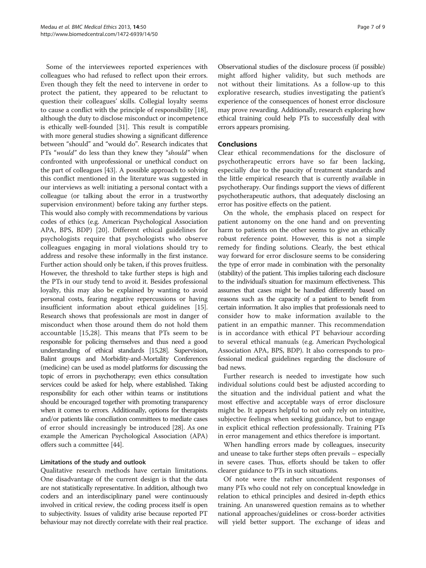Some of the interviewees reported experiences with colleagues who had refused to reflect upon their errors. Even though they felt the need to intervene in order to protect the patient, they appeared to be reluctant to question their colleagues' skills. Collegial loyalty seems to cause a conflict with the principle of responsibility [[18](#page-7-0)], although the duty to disclose misconduct or incompetence is ethically well-founded [[31](#page-7-0)]. This result is compatible with more general studies showing a significant difference between "should" and "would do". Research indicates that PTs "would" do less than they knew they "should" when confronted with unprofessional or unethical conduct on the part of colleagues [\[43\]](#page-8-0). A possible approach to solving this conflict mentioned in the literature was suggested in our interviews as well: initiating a personal contact with a colleague (or talking about the error in a trustworthy supervision environment) before taking any further steps. This would also comply with recommendations by various codes of ethics (e.g. American Psychological Association APA, BPS, BDP) [\[20](#page-7-0)]. Different ethical guidelines for psychologists require that psychologists who observe colleagues engaging in moral violations should try to address and resolve these informally in the first instance. Further action should only be taken, if this proves fruitless. However, the threshold to take further steps is high and the PTs in our study tend to avoid it. Besides professional loyalty, this may also be explained by wanting to avoid personal costs, fearing negative repercussions or having insufficient information about ethical guidelines [[15](#page-7-0)]. Research shows that professionals are most in danger of misconduct when those around them do not hold them accountable [\[15,28\]](#page-7-0). This means that PTs seem to be responsible for policing themselves and thus need a good understanding of ethical standards [[15,28\]](#page-7-0). Supervision, Balint groups and Morbidity-and-Mortality Conferences (medicine) can be used as model platforms for discussing the topic of errors in psychotherapy; even ethics consultation services could be asked for help, where established. Taking responsibility for each other within teams or institutions should be encouraged together with promoting transparency when it comes to errors. Additionally, options for therapists and/or patients like conciliation committees to mediate cases of error should increasingly be introduced [[28](#page-7-0)]. As one example the American Psychological Association (APA) offers such a committee [\[44\]](#page-8-0).

# Limitations of the study and outlook

Qualitative research methods have certain limitations. One disadvantage of the current design is that the data are not statistically representative. In addition, although two coders and an interdisciplinary panel were continuously involved in critical review, the coding process itself is open to subjectivity. Issues of validity arise because reported PT behaviour may not directly correlate with their real practice. Observational studies of the disclosure process (if possible) might afford higher validity, but such methods are not without their limitations. As a follow-up to this explorative research, studies investigating the patient's experience of the consequences of honest error disclosure may prove rewarding. Additionally, research exploring how ethical training could help PTs to successfully deal with errors appears promising.

# Conclusions

Clear ethical recommendations for the disclosure of psychotherapeutic errors have so far been lacking, especially due to the paucity of treatment standards and the little empirical research that is currently available in psychotherapy. Our findings support the views of different psychotherapeutic authors, that adequately disclosing an error has positive effects on the patient.

On the whole, the emphasis placed on respect for patient autonomy on the one hand and on preventing harm to patients on the other seems to give an ethically robust reference point. However, this is not a simple remedy for finding solutions. Clearly, the best ethical way forward for error disclosure seems to be considering the type of error made in combination with the personality (stability) of the patient. This implies tailoring each disclosure to the individual's situation for maximum effectiveness. This assumes that cases might be handled differently based on reasons such as the capacity of a patient to benefit from certain information. It also implies that professionals need to consider how to make information available to the patient in an empathic manner. This recommendation is in accordance with ethical PT behaviour according to several ethical manuals (e.g. American Psychological Association APA, BPS, BDP). It also corresponds to professional medical guidelines regarding the disclosure of bad news.

Further research is needed to investigate how such individual solutions could best be adjusted according to the situation and the individual patient and what the most effective and acceptable ways of error disclosure might be. It appears helpful to not only rely on intuitive, subjective feelings when seeking guidance, but to engage in explicit ethical reflection professionally. Training PTs in error management and ethics therefore is important.

When handling errors made by colleagues, insecurity and unease to take further steps often prevails – especially in severe cases. Thus, efforts should be taken to offer clearer guidance to PTs in such situations.

Of note were the rather unconfident responses of many PTs who could not rely on conceptual knowledge in relation to ethical principles and desired in-depth ethics training. An unanswered question remains as to whether national approaches/guidelines or cross-border activities will yield better support. The exchange of ideas and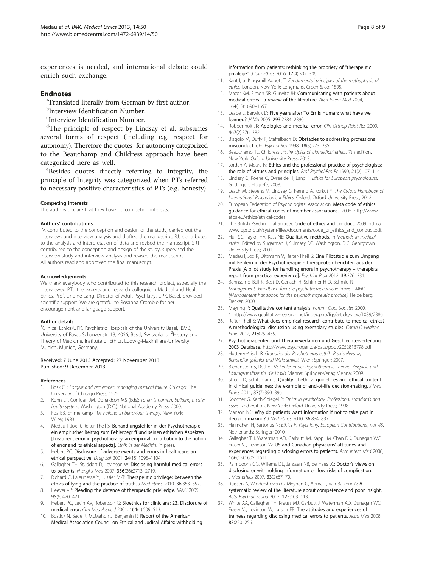<span id="page-7-0"></span>experiences is needed, and international debate could enrich such exchange.

#### **Endnotes**

<sup>a</sup>Translated literally from German by first author.

- <sup>b</sup>Interview Identification Number.
- <sup>c</sup>Interview Identification Number.

<sup>d</sup>The principle of respect by Lindsay et al. subsumes several forms of respect (including e.g. respect for autonomy). Therefore the quotes for autonomy categorized to the Beauchamp and Childress approach have been categorized here as well.

Besides quotes directly referring to integrity, the principle of Integrity was categorized when PTs referred to necessary positive characteristics of PTs (e.g. honesty).

#### Competing interests

The authors declare that they have no competing interests.

#### Authors' contributions

IM contributed to the conception and design of the study, carried out the interviews and interview analysis and drafted the manuscript. RJJ contributed to the analysis and interpretation of data and revised the manuscript. SRT contributed to the conception and design of the study, supervised the interview study and interview analysis and revised the manuscript. All authors read and approved the final manuscript.

#### Acknowledgements

We thank everybody who contributed to this research project, especially the interviewed PTs, the experts and research colloquium Medical and Health Ethics. Prof. Undine Lang, Director of Adult Psychiatry, UPK, Basel, provided scientific support. We are grateful to Rosanna Crombie for her encouragement and language support.

#### Author details

<sup>1</sup>Clinical Ethics/UPK, Psychiatric Hospitals of the University Basel, IBMB, University of Basel, Schanzenstr. 13, 4056, Basel, Switzerland. <sup>2</sup>History and Theory of Medicine, Institute of Ethics, Ludwig-Maximilians-University Munich, Munich, Germany.

#### Received: 7 June 2013 Accepted: 27 November 2013 Published: 9 December 2013

#### References

- 1. Bosk CL: Forgive and remember: managing medical failure. Chicago: The University of Chicago Press; 1979.
- 2. Kohn LT, Corrigan JM, Donaldson MS (Eds): To err is human: building a safer health system. Washington (D.C.): National Academy Press; 2000.
- 3. Foa EB, Emmelkamp PM: Failures in behaviour therapy. New York: Wiley; 1983.
- 4. Medau I, Jox R, Reiter-Theil S: Behandlungsfehler in der Psychotherapie: ein empirischer Beitrag zum Fehlerbegriff und seinen ethischen Aspekten [Treatment error in psychotherapy: an empirical contribution to the notion of error and its ethical aspects]. Ethik in der Medizin. in press.
- 5. Hebert PC: Disclosure of adverse events and errors in healthcare: an ethical perspective. Drug Saf 2001, 24(15):1095–1104.
- 6. Gallagher TH, Studdert D, Levinson W: Disclosing harmful medical errors to patients. N Engl J Med 2007, 356(26):2713–2719.
- 7. Richard C, Lajeunesse Y, Lussier M-T: Therapeutic privilege: between the ethics of lying and the practice of truth. J Med Ethics 2010, 36:353-357.
- 8. Heever vP: Pleading the defence of therapeutic priviledge. SAMJ 2005, 95(6):420–421.
- Hebert PC, Levin AV, Robertson G: Bioethics for clinicians: 23. Disclosure of medical error. Can Med Assoc J 2001, 164(4):509–513.
- 10. Bostick N, Sade R, McMahon J, Benjamin R: Report of the American Medical Association Council on Ethical and Judical Affairs: withholding

information from patients: rethinking the propriety of "therapeutic privilege". J Clin Ethics 2006, 17(4):302–306.

- 11. Kant I, tr. Kingsmill Abbott T: Fundamental principles of the methaphysic of ethics. London, New York: Longmans, Green & co; 1895.
- 12. Mazor KM, Simon SR, Gurwitz JH: Communicating with patients about medical errors - a review of the literature. Arch Intern Med 2004, 164(15):1690–1697.
- 13. Leape L, Berwick D: Five years after To Err Is Human: what have we learned? JAMA 2005, 293:2384–2390.
- 14. Robbennolt JK: Apologies and medical error. Clin Orthop Relat Res 2009, 467(2):376–382.
- 15. Biaggio M, Duffy R, Staffelbach D: Obstacles to addressing professional misconduct. Clin Psychol Rev 1998, 18(3):273–285.
- 16. Beauchamp TL, Childress JF: Principles of biomedical ethics. 7th edition. New York: Oxford University Press; 2013.
- 17. Jordan A, Meara N: Ethics and the professional practice of psychologists: the role of virtues and principles. Prof Psychol-Res Pr 1990, 21(2):107-114.
- 18. Lindsay G, Koene C, Ovreeide H, Lang F: Ethics for European psychologists. Göttingen: Hogrefe; 2008.
- 19. Leach M, Stevens M, Lindsay G, Ferrero A, Korkut Y: The Oxford Handbook of International Psychological Ethics. Oxford: Oxford University Press; 2012.
- 20. European Federation of Psychologists' Association: Meta code of ethics: guidance for ethical codes of member associations. 2005. [http://www.](http://www.efpa.eu/ethics/ethical-codes) [efpa.eu/ethics/ethical-codes](http://www.efpa.eu/ethics/ethical-codes).
- 21. The British Psycholgical Society: Code of ethics and conduct. 2009. [http://](http://www.bps.org.uk/system/files/documents/code_of_ethics_and_conduct.pdf) [www.bps.org.uk/system/files/documents/code\\_of\\_ethics\\_and\\_conduct.pdf.](http://www.bps.org.uk/system/files/documents/code_of_ethics_and_conduct.pdf)
- 22. Hull SC, Taylor HA, Kass NE: Qualitative methods. In Methods in medical ethics. Edited by Sugarman J, Sulmasy DP. Washington, D.C: Georgtown University Press; 2001.
- 23. Medau I, Jox R, Dittmann V, Reiter-Theil S: Eine Pilotstudie zum Umgang mit Fehlern in der Psychotherapie - Therapeuten berichten aus der Praxis [A pilot study for handling errors in psychotherapy – therapists report from practical experience]. Psychiat Prax 2012, 39:326–331.
- 24. Behnsen E, Bell K, Best D, Gerlach H, Schirmer H-D, Schmid R: Management- Handbuch fuer die psychotherapeutische Praxis - MHP. {Management handbook for the psychotherapeutic practice}. Heidelberg: Decker; 2000.
- 25. Mayring P: Qualitative content analysis. Forum: Qual Soc Res 2000, 1. [http://www.qualitative-research.net/index.php/fqs/article/view/1089/2386.](http://www.qualitative-research.net/index.php/fqs/article/view/1089/2386)
- 26. Reiter-Theil S: What does empirical research contribute to medical ethics? A methodological discussion using exemplary studies. Camb Q Healthc Ethic 2012, 21:425–435.
- 27. Psychotherapeuten und Therapieverfahren und Geschlechterverteilung 2003 Database. <http://www.psychogen.de/data/pool/2052813798.pdf>.
- 28. Hutterer-Krisch R: Grundriss der Psychotherapieethik. Praxisrelevanz, Behandlungsfehler und Wirksamkeit. Wien: Springer; 2007.
- 29. Bienenstein S, Rother M: Fehler in der Psychotherapie Theorie, Beispiele und Lösungsansätze für die Praxis. Vienna: Springer-Verlag Vienna; 2009.
- 30. Strech D, Schildmann J: Quality of ethical guidelines and ethical content in clinical guidelines: the example of end-of-life decision-making. J Med Ethics 2011, 37(7):390–396.
- 31. Koocher G, Keith-Spiegel P: Ethics in psychology. Professional standards and cases. 2nd edition. New York: Oxford University Press; 1998.
- 32. Manson NC: Why do patients want information if not to take part in decision making? J Med Ethics 2010, 36:834-837.
- 33. Helmchen H, Sartorius N: Ethics in Psychiatry: European Contributions., vol. 45. Netherlands: Springer; 2010.
- 34. Gallagher TH, Waterman AD, Garbutt JM, Kapp JM, Chan DK, Dunagan WC, Fraser VJ, Levinson W: US and Canadian physicians' attitudes and experiences regarding disclosing errors to patients. Arch Intern Med 2006, 166(15):1605–1611.
- 35. Palmboom GG, Willems DL, Janssen NB, de Haes JC: Doctor's views on disclosing or withholding information on low risks of complication. J Med Ethics 2007, 33(2):67–70.
- 36. Ruissen A, Widdershoven G, Meynen G, Abma T, van Balkom A: A systematic review of the literature about competence and poor insight. Acta Psychiat Scand 2012, 125:103–113.
- 37. White AA, Gallagher TH, Krauss MJ, Garbutt J, Waterman AD, Dunagan WC, Fraser VJ, Levinson W, Larson EB: The attitudes and experiences of trainees regarding disclosing medical errors to patients. Acad Med 2008, 83:250–256.